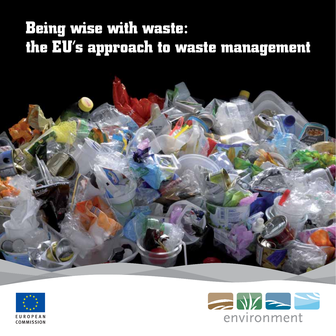## **Being wise with waste: the EU's approach to waste management**





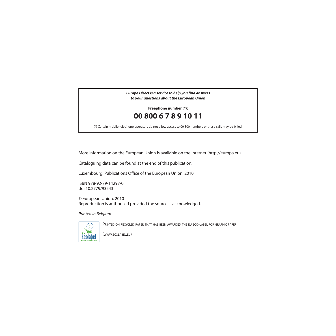*Europe Direct is a service to help you find answers to your questions about the European Union*

**Freephone number (\*) :**

### **00 800 6 7 8 9 10 11**

(\*) Certain mobile telephone operators do not allow access to 00 800 numbers or these calls may be billed.

More information on the European Union is available on the Internet (http://europa.eu).

Cataloguing data can be found at the end of this publication.

Luxembourg: Publications Office of the European Union, 2010

ISBN 978-92-79-14297-0 doi 10.2779/93543

© European Union, 2010 Reproduction is authorised provided the source is acknowledged.

Printed in Belgium



PRINTED ON RECYCLED PAPER THAT HAS BEEN AWARDED THE EU ECO-LABEL FOR GRAPHIC PAPER

(WWW.ECOLABEL.EU)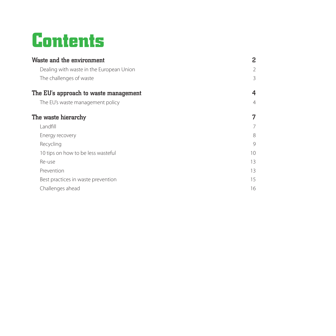## **Contents**

| Waste and the environment                | 2               |
|------------------------------------------|-----------------|
| Dealing with waste in the European Union | $\overline{2}$  |
| The challenges of waste                  | 3               |
| The EU's approach to waste management    | 4               |
| The EU's waste management policy         | 4               |
| The waste hierarchy                      | 7               |
| Landfill                                 | 7               |
| Energy recovery                          | 8               |
| Recycling                                | 9               |
| 10 tips on how to be less wasteful       | 10 <sup>2</sup> |
| Re-use                                   | 13              |
| Prevention                               | 13              |
| Best practices in waste prevention       | 15              |
| Challenges ahead                         | 16              |
|                                          |                 |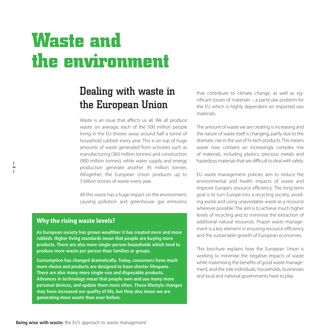# **Waste and the environment**

## Dealing with waste in the European Union

Waste is an issue that affects us all. We all produce waste: on average, each of the 500 million people living in the EU throws away around half a tonne of household rubbish every year. This is on top of huge amounts of waste generated from activities such as manufacturing (360 million tonnes) and construction (900 million tonnes), while water supply and energy production generate another 95 million tonnes. Altogether, the European Union produces up to 3 billion tonnes of waste every year.

All this waste has a huge impact on the environment, causing pollution and greenhouse gas emissions

### **Why the rising waste levels?**

**As European society has grown wealthier it has created more and more rubbish. Higher living standards mean that people are buying more products. There are also more single-person households which tend to produce more waste per person than families or groups.** 

**Consumption has changed dramatically. Today, consumers have much more choice and products are designed to have shorter lifespans. There are also many more single-use and disposable products. Advances in technology mean that people own and use many more personal devices, and update them more often. These lifestyle changes may have increased our quality of life, but they also mean we are generating more waste than ever before.** 

that contribute to climate change, as well as signifi cant losses of materials – a particular problem for the EU which is highly dependent on imported raw materials.

The amount of waste we are creating is increasing and the nature of waste itself is changing, partly due to the dramatic rise in the use of hi-tech products. This means waste now contains an increasingly complex mix of materials, including plastics, precious metals and hazardous materials that are difficult to deal with safely.

EU waste management policies aim to reduce the environmental and health impacts of waste and improve Europe's resource efficiency. The long-term goal is to turn Europe into a recycling society, avoiding waste and using unavoidable waste as a resource wherever possible. The aim is to achieve much higher levels of recycling and to minimise the extraction of additional natural resources. Proper waste management is a key element in ensuring resource efficiency and the sustainable growth of European economies.

This brochure explains how the European Union is working to minimise the negative impacts of waste while maximising the benefits of good waste management, and the role individuals, households, businesses and local and national governments have to play.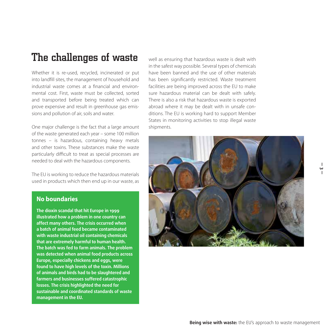### The challenges of waste

Whether it is re-used, recycled, incinerated or put into landfill sites, the management of household and industrial waste comes at a financial and environmental cost. First, waste must be collected, sorted and transported before being treated which can prove expensive and result in greenhouse gas emissions and pollution of air, soils and water.

One major challenge is the fact that a large amount of the waste generated each year – some 100 million tonnes – is hazardous, containing heavy metals and other toxins. These substances make the waste particularly difficult to treat as special processes are needed to deal with the hazardous components.

The EU is working to reduce the hazardous materials used in products which then end up in our waste, as

#### **No boundaries**

**The dioxin scandal that hit Europe in 1999 illustrated how a problem in one country can affect many others. The crisis occurred when a batch of animal feed became contaminated with waste industrial oil containing chemicals that are extremely harmful to human health. The batch was fed to farm animals. The problem was detected when animal food products across Europe, especially chickens and eggs, were found to have high levels of the toxin. Millions of animals and birds had to be slaughtered and farmers and businesses suffered catastrophic losses. The crisis highlighted the need for sustainable and coordinated standards of waste management in the EU.**

well as ensuring that hazardous waste is dealt with in the safest way possible. Several types of chemicals have been banned and the use of other materials has been significantly restricted. Waste treatment facilities are being improved across the EU to make sure hazardous material can be dealt with safely. There is also a risk that hazardous waste is exported abroad where it may be dealt with in unsafe conditions. The EU is working hard to support Member States in monitoring activities to stop illegal waste shipments.



**— 3 —**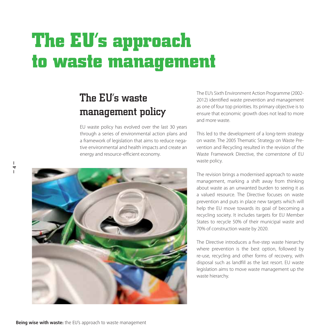# **The EU's approach to waste management**

## The EU's waste management policy

EU waste policy has evolved over the last 30 years through a series of environmental action plans and a framework of legislation that aims to reduce negative environmental and health impacts and create an energy and resource-efficient economy.

The EU's Sixth Environment Action Programme (2002- 2012) identified waste prevention and management as one of four top priorities. Its primary objective is to ensure that economic growth does not lead to more and more waste.

This led to the development of a long-term strategy on waste. The 2005 Thematic Strategy on Waste Prevention and Recycling resulted in the revision of the Waste Framework Directive, the cornerstone of EU waste policy.

The revision brings a modernised approach to waste management, marking a shift away from thinking about waste as an unwanted burden to seeing it as a valued resource. The Directive focuses on waste prevention and puts in place new targets which will help the EU move towards its goal of becoming a re cycling society. It includes targets for EU Member States to recycle 50% of their municipal waste and 70% of construction waste by 2020.

The Directive introduces a five-step waste hierarchy where prevention is the best option, followed by re-use, recycling and other forms of recovery, with disposal such as landfill as the last resort. EU waste legislation aims to move waste management up the waste hierarchy.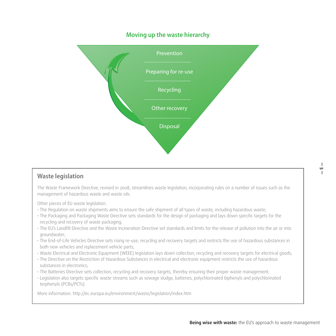#### **Moving up the waste hierarchy**



#### **Waste legislation**

The Waste Framework Directive, revised in 2008, streamlines waste legislation, incorporating rules on a number of issues such as the management of hazardous waste and waste oils.

Other pieces of EU waste legislation:

- The Regulation on waste shipments aims to ensure the safe shipment of all types of waste, including hazardous waste;
- The Packaging and Packaging Waste Directive sets standards for the design of packaging and lays down specific targets for the recycling and recovery of waste packaging;
- The EU's Landfill Directive and the Waste Incineration Directive set standards and limits for the release of pollution into the air or into groundwater;
- The End-of-Life Vehicles Directive sets rising re-use, recycling and recovery targets and restricts the use of hazardous substances in both new vehicles and replacement vehicle parts;
- Waste Electrical and Electronic Equipment (WEEE) legislation lays down collection, recycling and recovery targets for electrical goods;
- The Directive on the Restriction of Hazardous Substances in electrical and electronic equipment restricts the use of hazardous substances in electronics:
- The Batteries Directive sets collection, recycling and recovery targets, thereby ensuring their proper waste management;
- Legislation also targets specific waste streams such as sewage sludge, batteries, polychlorinated biphenyls and polychlorinated terphenyls (PCBs/PCTs).

More information: http://ec.europa.eu/environment/waste/legislation/index.htm

**— 5 —**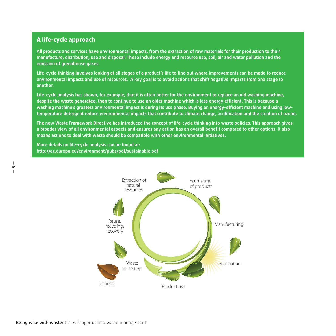### **A life-cycle approach**

**All products and services have environmental impacts, from the extraction of raw materials for their production to their manufacture, distribution, use and disposal. These include energy and resource use, soil, air and water pollution and the emission of greenhouse gases.**

Life-cycle thinking involves looking at all stages of a product's life to find out where improvements can be made to reduce **environmental impacts and use of resources. A key goal is to avoid actions that shift negative impacts from one stage to another.** 

**Life-cycle analysis has shown, for example, that it is often better for the environment to replace an old washing machine,**  despite the waste generated, than to continue to use an older machine which is less energy efficient. This is because a washing machine's greatest environmental impact is during its use phase. Buying an energy-efficient machine and using lowtemperature detergent reduce environmental impacts that contribute to climate change, acidification and the creation of ozone.

**The new Waste Framework Directive has introduced the concept of life-cycle thinking into waste policies. This approach gives**  a broader view of all environmental aspects and ensures any action has an overall benefit compared to other options. It also **means actions to deal with waste should be compatible with other environmental initiatives.**

**More details on life-cycle analysis can be found at: http://ec.europa.eu/environment/pubs/pdf/sustainable.pdf**

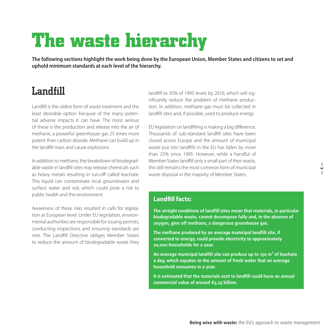# **The waste hierarchy**

**The following sections highlight the work being done by the European Union, Member States and citizens to set and uphold minimum standards at each level of the hierarchy.** 

### Landfill

Landfill is the oldest form of waste treatment and the least desirable option because of the many potential adverse impacts it can have. The most serious of these is the production and release into the air of methane, a powerful greenhouse gas 25 times more potent than carbon dioxide. Methane can build up in the landfill mass and cause explosions.

In addition to methane, the breakdown of biodegradable waste in landfill sites may release chemicals such as heavy metals resulting in run-off called leachate. This liquid can contaminate local groundwater and surface water and soil, which could pose a risk to public health and the environment.

Awareness of these risks resulted in calls for legislation at European level. Under EU legislation, environmental authorities are responsible for issuing permits, conducting inspections and ensuring standards are met. The Landfill Directive obliges Member States to reduce the amount of biodegradable waste they landfill to 35% of 1995 levels by 2016, which will significantly reduce the problem of methane production. In addition, methane gas must be collected in landfill sites and, if possible, used to produce energy.

EU legislation on landfilling is making a big difference. Thousands of sub-standard landfill sites have been closed across Europe and the amount of municipal waste put into landfills in the EU has fallen by more than 25% since 1995. However, while a handful of Member States landfill only a small part of their waste, this still remains the most common form of municipal waste disposal in the majority of Member States.

#### **Landfill facts:**

**The airtight conditions of landfill sites mean that materials, in particular biodegradable waste, cannot decompose fully and, in the absence of oxygen, give off methane, a dangerous greenhouse gas.**

The methane produced by an average municipal landfill site, if **converted to energy, could provide electricity to approximately 20,000 households for a year.**

An average municipal landfill site can produce up to 150 m<sup>3</sup> of leachate **a day, which equates to the amount of fresh water that an average household consumes in a year.**

It is estimated that the materials sent to landfill could have an annual **commercial value of around €5.25 billion.**

**— 7 —**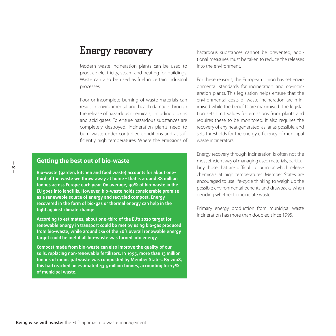### Energy recovery

Modern waste incineration plants can be used to produce electricity, steam and heating for buildings. Waste can also be used as fuel in certain industrial processes.

Poor or incomplete burning of waste materials can result in environmental and health damage through the release of hazardous chemicals, including dioxins and acid gases. To ensure hazardous substances are completely destroyed, incineration plants need to burn waste under controlled conditions and at sufficiently high temperatures. Where the emissions of

#### **Getting the best out of bio-waste**

**Bio-waste (garden, kitchen and food waste) accounts for about onethird of the waste we throw away at home – that is around 88 million tonnes across Europe each year. On average, 40% of bio-waste in the EU goes into landfills. However, bio-waste holds considerable promise as a renewable source of energy and recycled compost. Energy recovered in the form of bio-gas or thermal energy can help in the fi ght against climate change.** 

**According to estimates, about one-third of the EU's 2020 target for renewable energy in transport could be met by using bio-gas produced from bio-waste, while around 2% of the EU's overall renewable energy target could be met if all bio-waste was turned into energy.** 

**Compost made from bio-waste can also improve the quality of our soils, replacing non-renewable fertilizers. In 1995, more than 13 million tonnes of municipal waste was composted by Member States. By 2008, this had reached an estimated 43.5 million tonnes, accounting for 17% of municipal waste.** 

hazardous substances cannot be prevented, additional measures must be taken to reduce the releases into the environment.

For these reasons, the European Union has set environmental standards for incineration and co-incineration plants. This legislation helps ensure that the environmental costs of waste incineration are minimised while the benefits are maximised. The legislation sets limit values for emissions from plants and requires these to be monitored. It also requires the recovery of any heat generated, as far as possible, and sets thresholds for the energy efficiency of municipal waste incinerators.

Energy recovery through incineration is often not the most efficient way of managing used materials, particularly those that are difficult to burn or which release chemicals at high temperatures. Member States are encouraged to use life-cycle thinking to weigh up the possible environmental benefits and drawbacks when deciding whether to incinerate waste.

Primary energy production from municipal waste incineration has more than doubled since 1995.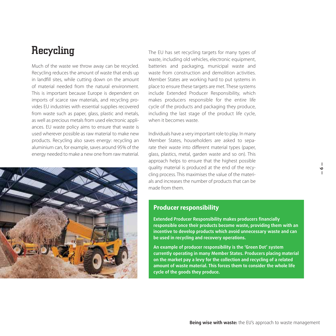### Recycling

Much of the waste we throw away can be recycled. Recycling reduces the amount of waste that ends up in landfill sites, while cutting down on the amount of material needed from the natural environment. This is important because Europe is dependent on imports of scarce raw materials, and recycling provides EU industries with essential supplies recovered from waste such as paper, glass, plastic and metals, as well as precious metals from used electronic appliances. EU waste policy aims to ensure that waste is used wherever possible as raw material to make new products. Recycling also saves energy: recycling an aluminium can, for example, saves around 95% of the energy needed to make a new one from raw material.



The EU has set recycling targets for many types of waste, including old vehicles, electronic equipment, batteries and packaging, municipal waste and waste from construction and demolition activities. Member States are working hard to put systems in place to ensure these targets are met. These systems include Extended Producer Responsibility, which makes producers responsible for the entire life cycle of the products and packaging they produce, including the last stage of the product life cycle, when it becomes waste.

Individuals have a very important role to play. In many Member States, householders are asked to separate their waste into different material types (paper, glass, plastics, metal, garden waste and so on). This approach helps to ensure that the highest possible quality material is produced at the end of the recycling process. This maximises the value of the materials and increases the number of products that can be made from them.

#### **Producer responsibility**

**Extended Producer Responsibility makes producers financially responsible once their products become waste, providing them with an incentive to develop products which avoid unnecessary waste and can be used in recycling and recovery operations.** 

**An example of producer responsibility is the 'Green Dot' system currently operating in many Member States. Producers placing material on the market pay a levy for the collection and recycling of a related amount of waste material. This forces them to consider the whole life cycle of the goods they produce.** 

ا<br>ا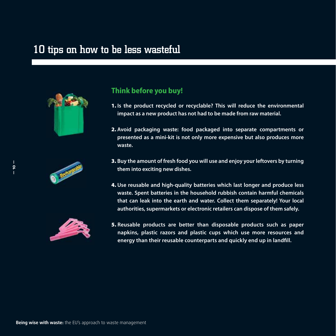### 10 tips on how to be less wasteful







### **Think before you buy!**

- **1. Is the product recycled or recyclable? This will reduce the environmental impact as a new product has not had to be made from raw material.**
- **2. Avoid packaging waste: food packaged into separate compartments or presented as a mini-kit is not only more expensive but also produces more waste.**
- **3. Buy the amount of fresh food you will use and enjoy your leftovers by turning them into exciting new dishes.**
- **4. Use reusable and high-quality batteries which last longer and produce less waste. Spent batteries in the household rubbish contain harmful chemicals that can leak into the earth and water. Collect them separately! Your local authorities, supermarkets or electronic retailers can dispose of them safely.**
- **5. Reusable products are better than disposable products such as paper napkins, plastic razors and plastic cups which use more resources and**  energy than their reusable counterparts and quickly end up in landfill.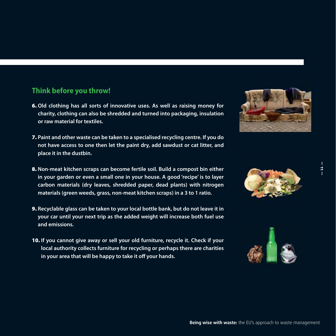### **Think before you throw!**

- **6. Old clothing has all sorts of innovative uses. As well as raising money for charity, clothing can also be shredded and turned into packaging, insulation or raw material for textiles.**
- **7. Paint and other waste can be taken to a specialised recycling centre. If you do not have access to one then let the paint dry, add sawdust or cat litter, and place it in the dustbin.**
- **8. Non-meat kitchen scraps can become fertile soil. Build a compost bin either in your garden or even a small one in your house. A good 'recipe' is to layer carbon materials (dry leaves, shredded paper, dead plants) with nitrogen materials (green weeds, grass, non-meat kitchen scraps) in a 3 to 1 ratio.**
- **9. Recyclable glass can be taken to your local bottle bank, but do not leave it in your car until your next trip as the added weight will increase both fuel use and emissions.**
- **10. If you cannot give away or sell your old furniture, recycle it. Check if your local authority collects furniture for recycling or perhaps there are charities in your area that will be happy to take it off your hands.**





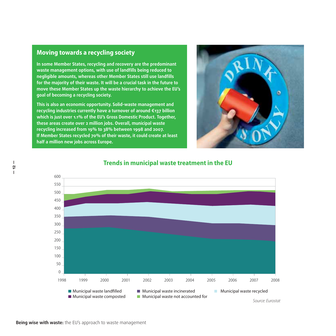#### **Moving towards a recycling society**

**— 12 —**

**In some Member States, recycling and recovery are the predominant**  waste management options, with use of landfills being reduced to **negligible amounts, whereas other Member States still use landfi lls for the majority of their waste. It will be a crucial task in the future to move these Member States up the waste hierarchy to achieve the EU's goal of becoming a recycling society.** 

**This is also an economic opportunity. Solid-waste management and recycling industries currently have a turnover of around €137 billion which is just over 1.1% of the EU's Gross Domestic Product. Together, these areas create over 2 million jobs. Overall, municipal waste recycling increased from 19% to 38% between 1998 and 2007. If Member States recycled 70% of their waste, it could create at least half a million new jobs across Europe.** 





#### **Trends in municipal waste treatment in the EU**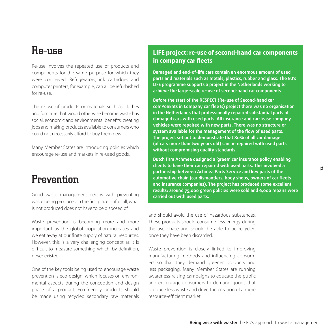### Re-use

Re-use involves the repeated use of products and components for the same purpose for which they were conceived. Refrigerators, ink cartridges and computer printers, for example, can all be refurbished for re-use.

The re-use of products or materials such as clothes and furniture that would otherwise become waste has social, economic and environmental benefits, creating jobs and making products available to consumers who could not necessarily afford to buy them new.

Many Member States are introducing policies which encourage re-use and markets in re-used goods.

### **Prevention**

Good waste management begins with preventing waste being produced in the first place – after all, what is not produced does not have to be disposed of.

Waste prevention is becoming more and more important as the global population increases and we eat away at our finite supply of natural resources. However, this is a very challenging concept as it is difficult to measure something which, by definition, never existed.

One of the key tools being used to encourage waste prevention is eco-design, which focuses on environmental aspects during the conception and design phase of a product. Eco-friendly products should be made using recycled secondary raw materials

### **LIFE project: re-use of second-hand car components in company car fleets**

**Damaged and end-of-life cars contain an enormous amount of used parts and materials such as metals, plastics, rubber and glass. The EU's LIFE programme supports a project in the Netherlands working to achieve the large-scale re-use of second-hand car components.**

**Before the start of the RESPECT (Re-use of Second-hand car**  comPonEnts in Company car fleeTs) project there was no organisation **in the Netherlands that professionally repaired substantial parts of damaged cars with used parts. All insurance and car-lease company vehicles were repaired with new parts. There was no structure or**  system available for the management of the flow of used parts. **The project set out to demonstrate that 80% of all car damage (of cars more than two years old) can be repaired with used parts without compromising quality standards.**

Dutch firm Achmea designed a 'green' car insurance policy enabling **clients to have their car repaired with used parts. This involved a partnership between Achmea Parts Service and key parts of the**  automotive chain (car dismantlers, body shops, owners of car fleets **and insurance companies). The project has produced some excellent results: around 75,000 green policies were sold and 6,000 repairs were carried out with used parts.** 

and should avoid the use of hazardous substances. These products should consume less energy during the use phase and should be able to be recycled once they have been discarded.

Waste prevention is closely linked to improving manufacturing methods and influencing consumers so that they demand greener products and less packaging. Many Member States are running awareness-raising campaigns to educate the public and encourage consumers to demand goods that produce less waste and drive the creation of a more resource-efficient market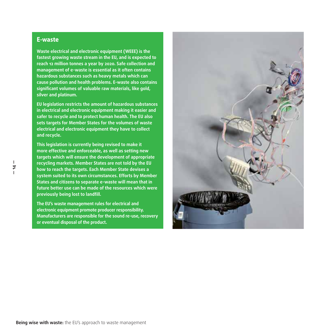#### **E-waste**

**Waste electrical and electronic equipment (WEEE) is the fastest growing waste stream in the EU, and is expected to reach 12 million tonnes a year by 2020. Safe collection and management of e-waste is essential as it often contains hazardous substances such as heavy metals which can cause pollution and health problems. E-waste also contains**  significant volumes of valuable raw materials, like gold, **silver and platinum.**

**EU legislation restricts the amount of hazardous substances in electrical and electronic equipment making it easier and safer to recycle and to protect human health. The EU also sets targets for Member States for the volumes of waste electrical and electronic equipment they have to collect and recycle.** 

**This legislation is currently being revised to make it more effective and enforceable, as well as setting new targets which will ensure the development of appropriate recycling markets. Member States are not told by the EU how to reach the targets. Each Member State devises a system suited to its own circumstances. Efforts by Member States and citizens to separate e-waste will mean that in future better use can be made of the resources which were previously being lost to landfill.** 

**The EU's waste management rules for electrical and electronic equipment promote producer responsibility. Manufacturers are responsible for the sound re-use, recovery or eventual disposal of the product.**

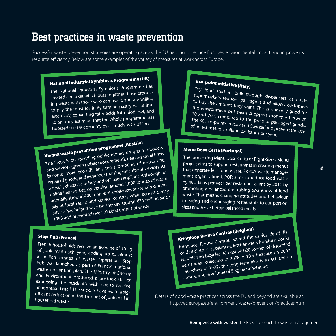### Best practices in waste prevention

Successful waste prevention strategies are operating across the EU helping to reduce Europe's environmental impact and improve its resource efficiency. Below are some examples of the variety of measures at work across Europe.

### **National Industrial Symbiosis Programme (UK)**

The National Industrial Symbiosis Programme has created a market which puts together those producing waste with those who can use it, and are willing to pay the most for it. By turning pastry waste into electricity, converting fatty acids into biodiesel, an<sup>d</sup> so on, they estimate that the whole programme has boosted the UK economy by as much as €3 billion.

**Vienna waste prevention programme (Austria)** The focus is on spending public money on green products and services (green public procurement), helping small firms become more eco-efficient, the promotion of re-use and repair of goods, and awareness-raising for cultural services. As a result, citizens can buy and sell used appliances through an online flea market, preventing around 1,000 tonnes of waste annually. Around 400 tonnes of appliances are repaired annually at local repair and service centres, while eco-efficiency advice has helped save businesses around  $\epsilon$ 34 million since 1998 and prevented over 100,000 tonnes of waste.

### **Eco-point initiative (Italy)**

Dry food sold in bulk through dispensers at Italian supermarkets reduces packaging and allows customers to buy the amount they want. This is not only good for the environment but saves shoppers money – between 10 and 70% compared to the price of packaged goods. The 30 Eco-points in Italy and Switzerland prevent the use of an estimated 1 million packages per year.

#### **Menu Dose Certa (Portugal)**

The pioneering Menu Dose Certa or Right-Sized Menu project aims to support restaurants in creating menus that generate less food waste. Porto's waste management organisation LIPOR aims to reduce food waste by 48.5 kilos per year per restaurant client by 2011 by promoting a balanced diet raising awareness of food waste. That means changing attitudes and behaviour to eating and encouraging restaurants to cut portion sizes and serve better-balanced meals.

**Kringloop Re-use Centres (Belgium)** Kringloop Re-use Centres extend the useful life of discarded clothes, appliances, kitchenware, furniture, books records and bicycles. Almost 50,000 tonnes of discarded items were collected in 2008, a 10% increase on 2007. Launched in 1992, the long-term aim is to achieve an annual re-use volume of 5 kg per inhabitant.

Details of good waste practices across the EU and beyond are available at: http://ec.europa.eu/environment/waste/prevention/practices.htm

### **Stop-Pub (France)**

French households receive an average of 15 kg of junk mail each year, adding up to almost a million tonnes of waste. Operation 'Stop Pub' was launched as part of France's national waste prevention plan. The Ministry of Energy and Environment produced a postbox sticker expressing the resident's wish not to receive unaddressed mail. The stickers have led to a signifi cant reduction in the amount of junk mail in household waste.

**— 15 —**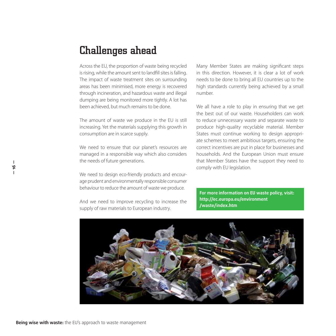### Challenges ahead

Across the EU, the proportion of waste being recycled is rising, while the amount sent to landfill sites is falling. The impact of waste treatment sites on surrounding areas has been minimised, more energy is recovered through incineration, and hazardous waste and illegal dumping are being monitored more tightly. A lot has been achieved, but much remains to be done.

The amount of waste we produce in the EU is still increasing. Yet the materials supplying this growth in consumption are in scarce supply.

We need to ensure that our planet's resources are managed in a responsible way which also considers the needs of future generations.

We need to design eco-friendly products and encourage prudent and environmentally responsible consumer behaviour to reduce the amount of waste we produce.

And we need to improve recycling to increase the supply of raw materials to European industry.

Many Member States are making significant steps in this direction. However, it is clear a lot of work needs to be done to bring all EU countries up to the high standards currently being achieved by a small number.

We all have a role to play in ensuring that we get the best out of our waste. Householders can work to reduce unnecessary waste and separate waste to produce high-quality recyclable material. Member States must continue working to design appropriate schemes to meet ambitious targets, ensuring the correct incentives are put in place for businesses and households. And the European Union must ensure that Member States have the support they need to comply with EU legislation.

**For more information on EU waste policy, visit: http://ec.europa.eu/environment /waste/index.htm**

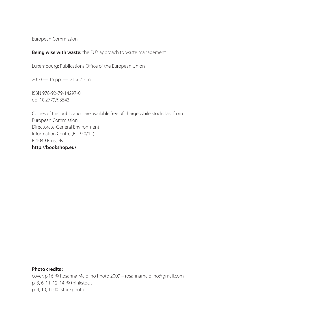European Commission

#### **Being wise with waste:** the EU's approach to waste management

Luxembourg: Publications Office of the European Union

 $2010 - 16$  pp.  $- 21 \times 21$  cm

ISBN 978-92-79-14297-0 doi 10.2779/93543

Copies of this publication are available free of charge while stocks last from: European Commission Directorate-General Environment Information Centre (BU-9 0/11) B-1049 Brussels **http://bookshop.eu/**

**Photo credits :** cover, p.16: © Rosanna Maiolino Photo 2009 – rosannamaiolino@gmail.com p. 3, 6, 11, 12, 14: © thinkstock p. 4, 10, 11: © iStockphoto